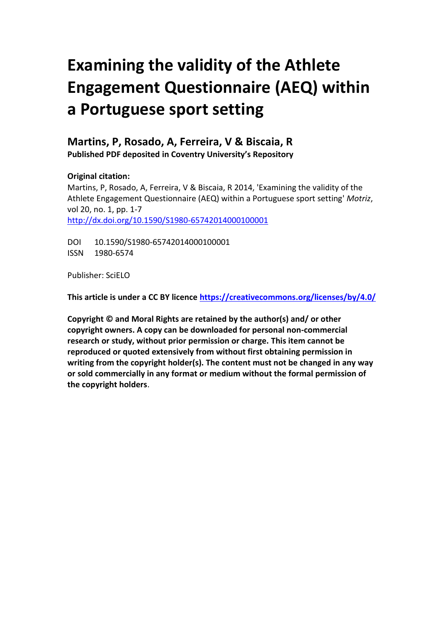# **Examining the validity of the Athlete Engagement Questionnaire (AEQ) within a Portuguese sport setting**

## **Martins, P, Rosado, A, Ferreira, V & Biscaia, R**

**Published PDF deposited in Coventry University's Repository**

### **Original citation:**

Martins, P, Rosado, A, Ferreira, V & Biscaia, R 2014, 'Examining the validity of the Athlete Engagement Questionnaire (AEQ) within a Portuguese sport setting' *Motriz*, vol 20, no. 1, pp. 1-7 [http://dx.doi.org/1](http://www.inbar.int/sites/default/files/Design%20Guide%20for%20Engineered%20Bahareque%20Housing_0.pdf)0.1590/S1980-65742014000100001

DOI 10.1590/S1980-65742014000100001 ISSN 1980-6574

Publisher: SciELO

**This article is under a CC BY licence<https://creativecommons.org/licenses/by/4.0/>**

**Copyright © and Moral Rights are retained by the author(s) and/ or other copyright owners. A copy can be downloaded for personal non-commercial research or study, without prior permission or charge. This item cannot be reproduced or quoted extensively from without first obtaining permission in writing from the copyright holder(s). The content must not be changed in any way or sold commercially in any format or medium without the formal permission of the copyright holders**.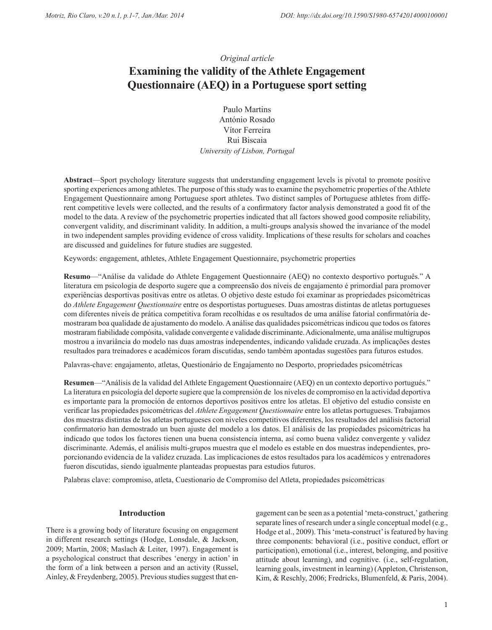#### *Original article*

## **Examining the validity of the Athlete Engagement Questionnaire (AEQ) in a Portuguese sport setting**

Paulo Martins António Rosado Vítor Ferreira Rui Biscaia *University of Lisbon, Portugal*

**Abstract**—Sport psychology literature suggests that understanding engagement levels is pivotal to promote positive sporting experiences among athletes. The purpose of this study was to examine the psychometric properties of the Athlete Engagement Questionnaire among Portuguese sport athletes. Two distinct samples of Portuguese athletes from different competitive levels were collected, and the results of a confirmatory factor analysis demonstrated a good fit of the model to the data. A review of the psychometric properties indicated that all factors showed good composite reliability, convergent validity, and discriminant validity. In addition, a multi-groups analysis showed the invariance of the model in two independent samples providing evidence of cross validity. Implications of these results for scholars and coaches are discussed and guidelines for future studies are suggested.

Keywords: engagement, athletes, Athlete Engagement Questionnaire, psychometric properties

**Resumo**—"Análise da validade do Athlete Engagement Questionnaire (AEQ) no contexto desportivo português." A literatura em psicologia de desporto sugere que a compreensão dos níveis de engajamento é primordial para promover experiências desportivas positivas entre os atletas. O objetivo deste estudo foi examinar as propriedades psicométricas do *Athlete Engagement Questionnaire* entre os desportistas portugueses. Duas amostras distintas de atletas portugueses com diferentes níveis de prática competitiva foram recolhidas e os resultados de uma análise fatorial confirmatória demostraram boa qualidade de ajustamento do modelo. A análise das qualidades psicométricas indicou que todos os fatores mostraram fiabilidade compósita, validade convergente e validade discriminante. Adicionalmente, uma análise multigrupos mostrou a invariância do modelo nas duas amostras independentes, indicando validade cruzada. As implicações destes resultados para treinadores e académicos foram discutidas, sendo também apontadas sugestões para futuros estudos.

Palavras-chave: engajamento, atletas, Questionário de Engajamento no Desporto, propriedades psicométricas

**Resumen**—"Análisis de la validad del Athlete Engagement Questionnaire (AEQ) en un contexto deportivo portugués." La literatura en psicología del deporte sugiere que la comprensión de los niveles de compromiso en la actividad deportiva es importante para la promoción de entornos deportivos positivos entre los atletas. El objetivo del estudio consiste en verificar las propiedades psicométricas del *Athlete Engagement Questionnaire* entre los atletas portugueses. Trabajamos dos muestras distintas de los atletas portugueses con niveles competitivos diferentes, los resultados del análisis factorial confirmatorio han demostrado un buen ajuste del modelo a los datos. El análisis de las propiedades psicométricas ha indicado que todos los factores tienen una buena consistencia interna, así como buena validez convergente y validez discriminante. Además, el análisis multi-grupos muestra que el modelo es estable en dos muestras independientes, proporcionando evidencia de la validez cruzada. Las implicaciones de estos resultados para los académicos y entrenadores fueron discutidas, siendo igualmente planteadas propuestas para estudios futuros.

Palabras clave: compromiso, atleta, Cuestionario de Compromiso del Atleta, propiedades psicométricas

#### **Introduction**

There is a growing body of literature focusing on engagement in different research settings (Hodge, Lonsdale, & Jackson, 2009; Martin, 2008; Maslach & Leiter, 1997). Engagement is a psychological construct that describes 'energy in action' in the form of a link between a person and an activity (Russel, Ainley, & Freydenberg, 2005). Previous studies suggest that engagement can be seen as a potential 'meta-construct,' gathering separate lines of research under a single conceptual model (e.g., Hodge et al., 2009). This 'meta-construct' is featured by having three components: behavioral (i.e., positive conduct, effort or participation), emotional (i.e., interest, belonging, and positive attitude about learning), and cognitive. (i.e., self-regulation, learning goals, investment in learning) (Appleton, Christenson, Kim, & Reschly, 2006; Fredricks, Blumenfeld, & Paris, 2004).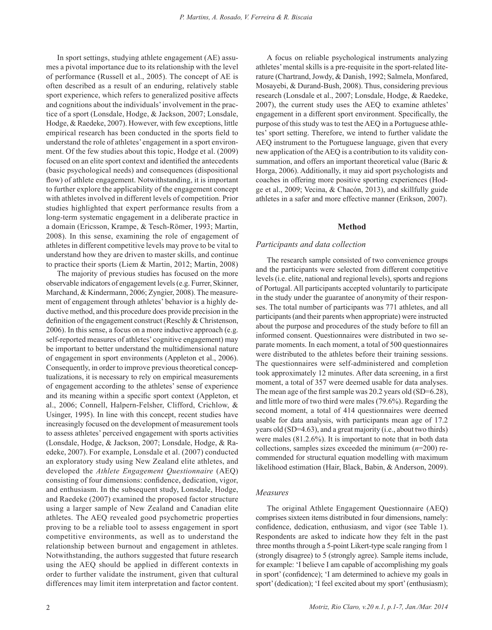In sport settings, studying athlete engagement (AE) assumes a pivotal importance due to its relationship with the level of performance (Russell et al., 2005). The concept of AE is often described as a result of an enduring, relatively stable sport experience, which refers to generalized positive affects and cognitions about the individuals' involvement in the practice of a sport (Lonsdale, Hodge, & Jackson, 2007; Lonsdale, Hodge, & Raedeke, 2007). However, with few exceptions, little empirical research has been conducted in the sports field to understand the role of athletes' engagement in a sport environment. Of the few studies about this topic, Hodge et al. (2009) focused on an elite sport context and identified the antecedents (basic psychological needs) and consequences (dispositional flow) of athlete engagement. Notwithstanding, it is important to further explore the applicability of the engagement concept with athletes involved in different levels of competition. Prior studies highlighted that expert performance results from a long-term systematic engagement in a deliberate practice in a domain (Ericsson, Krampe, & Tesch-Römer, 1993; Martin, 2008). In this sense, examining the role of engagement of athletes in different competitive levels may prove to be vital to understand how they are driven to master skills, and continue to practice their sports (Liem & Martin, 2012; Martin, 2008)

The majority of previous studies has focused on the more observable indicators of engagement levels (e.g. Furrer, Skinner, Marchand, & Kindermann, 2006; Zyngier, 2008). The measurement of engagement through athletes' behavior is a highly deductive method, and this procedure does provide precision in the definition of the engagement construct (Reschly & Christenson, 2006). In this sense, a focus on a more inductive approach (e.g. self-reported measures of athletes' cognitive engagement) may be important to better understand the multidimensional nature of engagement in sport environments (Appleton et al., 2006). Consequently, in order to improve previous theoretical conceptualizations, it is necessary to rely on empirical measurements of engagement according to the athletes' sense of experience and its meaning within a specific sport context (Appleton, et al., 2006; Connell, Halpern-Felsher, Clifford, Crichlow, & Usinger, 1995). In line with this concept, recent studies have increasingly focused on the development of measurement tools to assess athletes' perceived engagement with sports activities (Lonsdale, Hodge, & Jackson, 2007; Lonsdale, Hodge, & Raedeke, 2007). For example, Lonsdale et al. (2007) conducted an exploratory study using New Zealand elite athletes, and developed the *Athlete Engagement Questionnaire* (AEQ) consisting of four dimensions: confidence, dedication, vigor, and enthusiasm. In the subsequent study, Lonsdale, Hodge, and Raedeke (2007) examined the proposed factor structure using a larger sample of New Zealand and Canadian elite athletes. The AEQ revealed good psychometric properties proving to be a reliable tool to assess engagement in sport competitive environments, as well as to understand the relationship between burnout and engagement in athletes. Notwithstanding, the authors suggested that future research using the AEQ should be applied in different contexts in order to further validate the instrument, given that cultural differences may limit item interpretation and factor content.

A focus on reliable psychological instruments analyzing athletes' mental skills is a pre-requisite in the sport-related literature (Chartrand, Jowdy, & Danish, 1992; Salmela, Monfared, Mosayebi, & Durand-Bush, 2008). Thus, considering previous research (Lonsdale et al., 2007; Lonsdale, Hodge, & Raedeke, 2007), the current study uses the AEQ to examine athletes' engagement in a different sport environment. Specifically, the purpose of this study was to test the AEQ in a Portuguese athletes' sport setting. Therefore, we intend to further validate the AEQ instrument to the Portuguese language, given that every new application of the AEQ is a contribution to its validity consummation, and offers an important theoretical value (Baric & Horga, 2006). Additionally, it may aid sport psychologists and coaches in offering more positive sporting experiences (Hodge et al., 2009; Vecina, & Chacón, 2013), and skillfully guide athletes in a safer and more effective manner (Erikson, 2007).

#### **Method**

#### *Participants and data collection*

The research sample consisted of two convenience groups and the participants were selected from different competitive levels (i.e. elite, national and regional levels), sports and regions of Portugal. All participants accepted voluntarily to participate in the study under the guarantee of anonymity of their responses. The total number of participants was 771 athletes, and all participants (and their parents when appropriate) were instructed about the purpose and procedures of the study before to fill an informed consent. Questionnaires were distributed in two separate moments. In each moment, a total of 500 questionnaires were distributed to the athletes before their training sessions. The questionnaires were self-administered and completion took approximately 12 minutes. After data screening, in a first moment, a total of 357 were deemed usable for data analyses. The mean age of the first sample was 20.2 years old (SD=6.28), and little more of two third were males (79.6%). Regarding the second moment, a total of 414 questionnaires were deemed usable for data analysis, with participants mean age of 17.2 years old (SD=4.63), and a great majority (i.e., about two thirds) were males (81.2.6%). It is important to note that in both data collections, samples sizes exceeded the minimum (*n*=200) recommended for structural equation modelling with maximum likelihood estimation (Hair, Black, Babin, & Anderson, 2009).

#### *Measures*

The original Athlete Engagement Questionnaire (AEQ) comprises sixteen items distributed in four dimensions, namely: confidence, dedication, enthusiasm, and vigor (see Table 1). Respondents are asked to indicate how they felt in the past three months through a 5-point Likert-type scale ranging from 1 (strongly disagree) to 5 (strongly agree). Sample items include, for example: 'I believe I am capable of accomplishing my goals in sport' (confidence); 'I am determined to achieve my goals in sport' (dedication); 'I feel excited about my sport' (enthusiasm);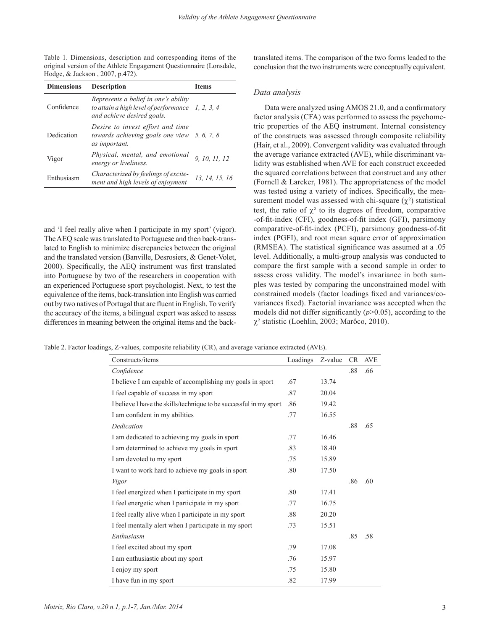Table 1. Dimensions, description and corresponding items of the original version of the Athlete Engagement Questionnaire (Lonsdale, Hodge, & Jackson , 2007, p.472).

| <b>Dimensions</b> | <b>Description</b>                                                                                                       | <b>Items</b>   |  |  |
|-------------------|--------------------------------------------------------------------------------------------------------------------------|----------------|--|--|
| Confidence        | Represents a belief in one's ability<br>to attain a high level of performance $1, 2, 3, 4$<br>and achieve desired goals. |                |  |  |
| Dedication        | Desire to invest effort and time<br>towards achieving goals one view $5, 6, 7, 8$<br>as important.                       |                |  |  |
| Vigor             | Physical, mental, and emotional<br>energy or liveliness.                                                                 | 9. 10. 11. 12  |  |  |
| Enthusiasm        | Characterized by feelings of excite-<br>ment and high levels of enjoyment                                                | 13. 14. 15. 16 |  |  |

and 'I feel really alive when I participate in my sport' (vigor). The AEQ scale was translated to Portuguese and then back-translated to English to minimize discrepancies between the original and the translated version (Banville, Desrosiers, & Genet-Volet, 2000). Specifically, the AEQ instrument was first translated into Portuguese by two of the researchers in cooperation with an experienced Portuguese sport psychologist. Next, to test the equivalence of the items, back-translation into English was carried out by two natives of Portugal that are fluent in English. To verify the accuracy of the items, a bilingual expert was asked to assess differences in meaning between the original items and the backtranslated items. The comparison of the two forms leaded to the conclusion that the two instruments were conceptually equivalent.

#### *Data analysis*

Data were analyzed using AMOS 21.0, and a confirmatory factor analysis (CFA) was performed to assess the psychometric properties of the AEQ instrument. Internal consistency of the constructs was assessed through composite reliability (Hair, et al., 2009). Convergent validity was evaluated through the average variance extracted (AVE), while discriminant validity was established when AVE for each construct exceeded the squared correlations between that construct and any other (Fornell & Larcker, 1981). The appropriateness of the model was tested using a variety of indices. Specifically, the measurement model was assessed with chi-square  $(\chi^2)$  statistical test, the ratio of  $\chi^2$  to its degrees of freedom, comparative -of-fit-index (CFI), goodness-of-fit index (GFI), parsimony comparative-of-fit-index (PCFI), parsimony goodness-of-fit index (PGFI), and root mean square error of approximation (RMSEA). The statistical significance was assumed at a .05 level. Additionally, a multi-group analysis was conducted to compare the first sample with a second sample in order to assess cross validity. The model's invariance in both samples was tested by comparing the unconstrained model with constrained models (factor loadings fixed and variances/covariances fixed). Factorial invariance was accepted when the models did not differ significantly (*p*>0.05), according to the χ² statistic (Loehlin, 2003; Marôco, 2010).

Table 2. Factor loadings, Z-values, composite reliability (CR), and average variance extracted (AVE).

| Constructs/items                                                   | Loadings | Z-value | <b>CR</b> | <b>AVE</b> |
|--------------------------------------------------------------------|----------|---------|-----------|------------|
| Confidence                                                         |          |         | .88       | .66        |
| I believe I am capable of accomplishing my goals in sport          | .67      | 13.74   |           |            |
| I feel capable of success in my sport                              | .87      | 20.04   |           |            |
| I believe I have the skills/technique to be successful in my sport | .86      | 19.42   |           |            |
| I am confident in my abilities                                     | .77      | 16.55   |           |            |
| Dedication                                                         |          |         | .88       | .65        |
| I am dedicated to achieving my goals in sport                      | .77      | 16.46   |           |            |
| I am determined to achieve my goals in sport                       | .83      | 18.40   |           |            |
| I am devoted to my sport                                           | .75      | 15.89   |           |            |
| I want to work hard to achieve my goals in sport                   | .80      | 17.50   |           |            |
| Vigor                                                              |          |         | .86       | .60        |
| I feel energized when I participate in my sport                    | .80      | 17.41   |           |            |
| I feel energetic when I participate in my sport                    | .77      | 16.75   |           |            |
| I feel really alive when I participate in my sport                 | .88      | 20.20   |           |            |
| I feel mentally alert when I participate in my sport               | .73      | 15.51   |           |            |
| Enthusiasm                                                         |          |         | .85       | .58        |
| I feel excited about my sport                                      | .79      | 17.08   |           |            |
| I am enthusiastic about my sport                                   | .76      | 15.97   |           |            |
| I enjoy my sport                                                   | .75      | 15.80   |           |            |
| I have fun in my sport                                             | .82      | 17.99   |           |            |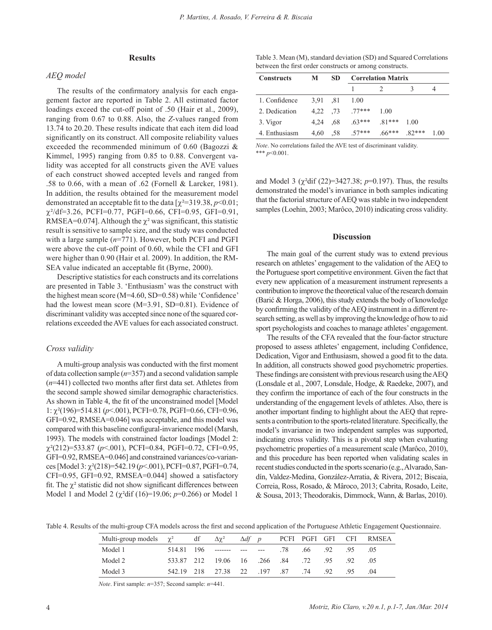#### **Results**

#### *AEQ model*

The results of the confirmatory analysis for each engagement factor are reported in Table 2. All estimated factor loadings exceed the cut-off point of .50 (Hair et al., 2009), ranging from 0.67 to 0.88. Also, the *Z*-values ranged from 13.74 to 20.20. These results indicate that each item did load significantly on its construct. All composite reliability values exceeded the recommended minimum of 0.60 (Bagozzi & Kimmel, 1995) ranging from 0.85 to 0.88. Convergent validity was accepted for all constructs given the AVE values of each construct showed accepted levels and ranged from .58 to 0.66, with a mean of .62 (Fornell & Larcker, 1981). In addition, the results obtained for the measurement model demonstrated an acceptable fit to the data  $[\chi^2 = 319.38, p < 0.01;$  $\gamma^2$ /df=3.26, PCFI=0.77, PGFI=0.66, CFI=0.95, GFI=0.91, RMSEA=0.074]. Although the  $\chi^2$  was significant, this statistic result is sensitive to sample size, and the study was conducted with a large sample (*n*=771). However, both PCFI and PGFI were above the cut-off point of 0.60, while the CFI and GFI were higher than 0.90 (Hair et al. 2009). In addition, the RM-SEA value indicated an acceptable fit (Byrne, 2000).

Descriptive statistics for each constructs and its correlations are presented in Table 3. 'Enthusiasm' was the construct with the highest mean score (M=4.60, SD=0.58) while 'Confidence' had the lowest mean score (M=3.91, SD=0.81). Evidence of discriminant validity was accepted since none of the squared correlations exceeded the AVE values for each associated construct.

#### *Cross validity*

A multi-group analysis was conducted with the first moment of data collection sample (*n*=357) and a second validation sample (*n*=441) collected two months after first data set. Athletes from the second sample showed similar demographic characteristics. As shown in Table 4, the fit of the unconstrained model [Model 1: χ²(196)=514.81 (*p*<.001), PCFI=0.78, PGFI=0.66, CFI=0.96, GFI=0.92, RMSEA=0.046] was acceptable, and this model was compared with this baseline configural-invarience model (Marsh, 1993). The models with constrained factor loadings [Model 2: χ²(212)=533.87 (*p*<.001), PCFI=0.84, PGFI=0.72, CFI=0.95, GFI=0.92, RMSEA=0.046] and constrained variances/co-variances [Model 3: χ²(218)=542.19 (*p*<.001), PCFI=0.87, PGFI=0.74, CFI=0.95, GFI=0.92, RMSEA=0.044] showed a satisfactory fit. The  $\chi^2$  statistic did not show significant differences between Model 1 and Model 2 (χ²dif (16)=19.06; *p*=0.266) or Model 1

Table 3. Mean (M), standard deviation (SD) and Squared Correlations between the first order constructs or among constructs.

| <b>Constructs</b> | M    | SD  | <b>Correlation Matrix</b> |         |         |     |  |  |
|-------------------|------|-----|---------------------------|---------|---------|-----|--|--|
|                   |      |     |                           |         |         |     |  |  |
| 1. Confidence     | 3.91 | .81 | 1.00                      |         |         |     |  |  |
| 2. Dedication     | 4.22 | .73 | $77***$                   | 1.00    |         |     |  |  |
| 3. Vigor          | 4.24 | .68 | $63***$                   | $81***$ | 1.00    |     |  |  |
| 4. Enthusiasm     | 4.60 | .58 | $.57***$                  | $66***$ | $82***$ | 100 |  |  |
|                   |      |     |                           |         |         |     |  |  |

*Note*. No correlations failed the AVE test of discriminant validity. \*\*\* *p*<0.001.

and Model 3 (χ²dif (22)=3427.38; *p*=0.197). Thus, the results demonstrated the model's invariance in both samples indicating that the factorial structure of AEQ was stable in two independent samples (Loehin, 2003; Marôco, 2010) indicating cross validity.

#### **Discussion**

The main goal of the current study was to extend previous research on athletes' engagement to the validation of the AEQ to the Portuguese sport competitive environment. Given the fact that every new application of a measurement instrument represents a contribution to improve the theoretical value of the research domain (Barić & Horga, 2006), this study extends the body of knowledge by confirming the validity of the AEQ instrument in a different research setting, as well as by improving the knowledge of how to aid sport psychologists and coaches to manage athletes' engagement.

The results of the CFA revealed that the four-factor structure proposed to assess athletes' engagement, including Confidence, Dedication, Vigor and Enthusiasm, showed a good fit to the data. In addition, all constructs showed good psychometric properties. These findings are consistent with previous research using the AEQ (Lonsdale et al., 2007, Lonsdale, Hodge, & Raedeke, 2007), and they confirm the importance of each of the four constructs in the understanding of the engagement levels of athletes. Also, there is another important finding to highlight about the AEQ that represents a contribution to the sports-related literature. Specifically, the model's invariance in two independent samples was supported, indicating cross validity. This is a pivotal step when evaluating psychometric properties of a measurement scale (Marôco, 2010), and this procedure has been reported when validating scales in recent studies conducted in the sports scenario (e.g., Alvarado, Sandín, Valdez-Medina, González-Arratia, & Rivera, 2012; Biscaia, Correia, Ross, Rosado, & Mâroco, 2013; Cabrita, Rosado, Leite, & Sousa, 2013; Theodorakis, Dimmock, Wann, & Barlas, 2010).

Table 4. Results of the multi-group CFA models across the first and second application of the Portuguese Athletic Engagement Questionnaire.

| Multi-group models $\gamma^2$ | df | $\Delta\gamma^2$                 | $\Delta df$ p |     |     |      |     | PCFI PGFI GFI CFI RMSEA |
|-------------------------------|----|----------------------------------|---------------|-----|-----|------|-----|-------------------------|
| Model 1                       |    | 514.81 196 ------- --- ---       |               | .78 | .66 | .92  | .95 | .05                     |
| Model 2                       |    | 533.87 212 19.06 16 .266 .84 .72 |               |     |     | - 95 | 92. | .05                     |
| Model 3                       |    | 542.19 218 27.38 22 197 87       |               |     | .74 | .92  | 95  | $^{04}$                 |

*Note*. First sample: *n*=357; Second sample: *n*=441.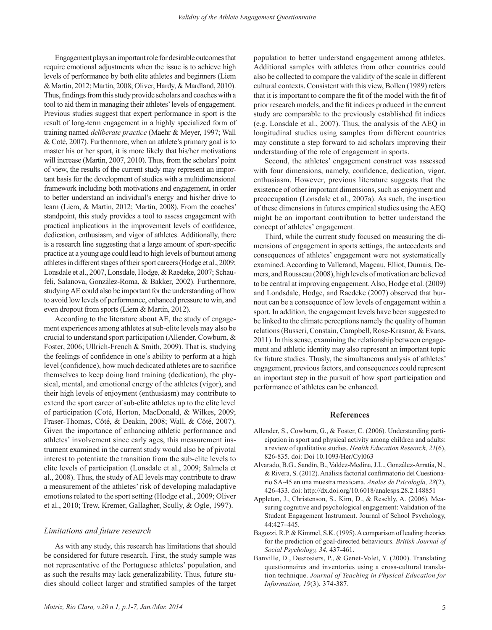Engagement plays an important role for desirable outcomes that require emotional adjustments when the issue is to achieve high levels of performance by both elite athletes and beginners (Liem & Martin, 2012; Martin, 2008; Oliver, Hardy, & Mardland, 2010). Thus, findings from this study provide scholars and coaches with a tool to aid them in managing their athletes' levels of engagement. Previous studies suggest that expert performance in sport is the result of long-term engagement in a highly specialized form of training named *deliberate practice* (Maehr & Meyer, 1997; Wall & Coté, 2007). Furthermore, when an athlete's primary goal is to master his or her sport, it is more likely that his/her motivations will increase (Martin, 2007, 2010). Thus, from the scholars' point of view, the results of the current study may represent an important basis for the development of studies with a multidimensional framework including both motivations and engagement, in order to better understand an individual's energy and his/her drive to learn (Liem, & Martin, 2012; Martin, 2008). From the coaches' standpoint, this study provides a tool to assess engagement with practical implications in the improvement levels of confidence, dedication, enthusiasm, and vigor of athletes. Additionally, there is a research line suggesting that a large amount of sport-specific practice at a young age could lead to high levels of burnout among athletes in different stages of their sport careers (Hodge et al., 2009; Lonsdale et al., 2007, Lonsdale, Hodge, & Raedeke, 2007; Schaufeli, Salanova, González-Roma, & Bakker, 2002). Furthermore, studying AE could also be important for the understanding of how to avoid low levels of performance, enhanced pressure to win, and even dropout from sports (Liem & Martin, 2012).

According to the literature about AE, the study of engagement experiences among athletes at sub-elite levels may also be crucial to understand sport participation (Allender, Cowburn, & Foster, 2006; Ullrich-French & Smith, 2009). That is, studying the feelings of confidence in one's ability to perform at a high level (confidence), how much dedicated athletes are to sacrifice themselves to keep doing hard training (dedication), the physical, mental, and emotional energy of the athletes (vigor), and their high levels of enjoyment (enthusiasm) may contribute to extend the sport career of sub-elite athletes up to the elite level of participation (Coté, Horton, MacDonald, & Wilkes, 2009; Fraser-Thomas, Côté, & Deakin, 2008; Wall, & Côté, 2007). Given the importance of enhancing athletic performance and athletes' involvement since early ages, this measurement instrument examined in the current study would also be of pivotal interest to potentiate the transition from the sub-elite levels to elite levels of participation (Lonsdale et al., 2009; Salmela et al., 2008). Thus, the study of AE levels may contribute to draw a measurement of the athletes' risk of developing maladaptive emotions related to the sport setting (Hodge et al., 2009; Oliver et al., 2010; Trew, Kremer, Gallagher, Scully, & Ogle, 1997).

#### *Limitations and future research*

As with any study, this research has limitations that should be considered for future research. First, the study sample was not representative of the Portuguese athletes' population, and as such the results may lack generalizability. Thus, future studies should collect larger and stratified samples of the target population to better understand engagement among athletes. Additional samples with athletes from other countries could also be collected to compare the validity of the scale in different cultural contexts. Consistent with this view, Bollen (1989) refers that it is important to compare the fit of the model with the fit of prior research models, and the fit indices produced in the current study are comparable to the previously established fit indices (e.g. Lonsdale et al., 2007). Thus, the analysis of the AEQ in longitudinal studies using samples from different countries may constitute a step forward to aid scholars improving their understanding of the role of engagement in sports.

Second, the athletes' engagement construct was assessed with four dimensions, namely, confidence, dedication, vigor, enthusiasm. However, previous literature suggests that the existence of other important dimensions, such as enjoyment and preoccupation (Lonsdale et al., 2007a). As such, the insertion of these dimensions in futures empirical studies using the AEQ might be an important contribution to better understand the concept of athletes' engagement.

Third, while the current study focused on measuring the dimensions of engagement in sports settings, the antecedents and consequences of athletes' engagement were not systematically examined. According to Vallerand, Mageau, Elliot, Dumais, Demers, and Rousseau (2008), high levels of motivation are believed to be central at improving engagement. Also, Hodge et al. (2009) and Londsdale, Hodge, and Raedeke (2007) observed that burnout can be a consequence of low levels of engagement within a sport. In addition, the engagement levels have been suggested to be linked to the climate perceptions namely the quality of human relations (Busseri, Constain, Campbell, Rose-Krasnor, & Evans, 2011). In this sense, examining the relationship between engagement and athletic identity may also represent an important topic for future studies. Thusly, the simultaneous analysis of athletes' engagement, previous factors, and consequences could represent an important step in the pursuit of how sport participation and performance of athletes can be enhanced.

#### **References**

- Allender, S., Cowburn, G., & Foster, C. (2006). Understanding participation in sport and physical activity among children and adults: a review of qualitative studies. *Health Education Research, 21*(6), 826-835. doi: Doi 10.1093/Her/Cyl063
- Alvarado, B.G., Sandín, B., Valdez-Medina, J.L., González-Arratia, N., & Rivera, S. (2012). Análisis factorial confirmatorio del Cuestionario SA-45 en una muestra mexicana. *Anales de Psicología, 28*(2), 426-433. doi: http://dx.doi.org/10.6018/analesps.28.2.148851
- Appleton, J., Christenson, S., Kim, D., & Reschly, A. (2006). Measuring cognitive and psychological engagement: Validation of the Student Engagement Instrument. Journal of School Psychology, 44:427–445.
- Bagozzi, R.P. & Kimmel, S.K. (1995). A comparison of leading theories for the prediction of goal-directed behaviours. *British Journal of Social Psychology, 34*, 437-461.
- Banville, D., Desrosiers, P., & Genet-Volet, Y. (2000). Translating questionnaires and inventories using a cross-cultural translation technique. *Journal of Teaching in Physical Education for Information, 19*(3), 374-387.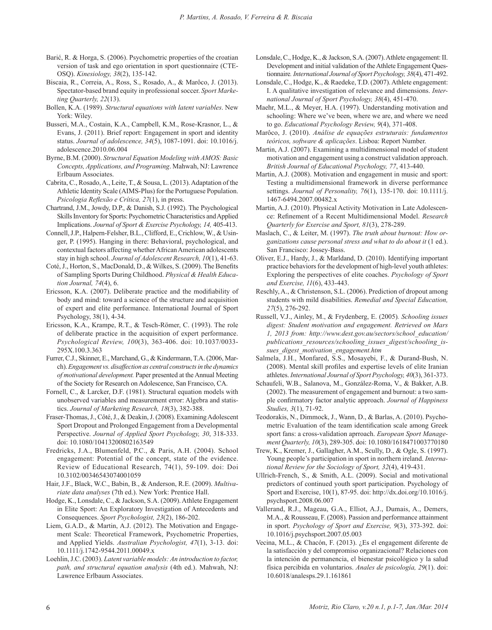- Barić, R. & Horga, S. (2006). Psychometric properties of the croatian version of task and ego orientation in sport questionnaire (CTE-OSQ). *Kinesiology, 38*(2), 135-142.
- Biscaia, R., Correia, A., Ross, S., Rosado, A., & Marôco, J. (2013). Spectator-based brand equity in professional soccer. *Sport Marketing Quarterly, 22*(13).
- Bollen, K.A. (1989). *Structural equations with latent variables*. New York: Wiley.
- Busseri, M.A., Costain, K.A., Campbell, K.M., Rose-Krasnor, L., & Evans, J. (2011). Brief report: Engagement in sport and identity status. *Journal of adolescence, 34*(5), 1087-1091. doi: 10.1016/j. adolescence.2010.06.004
- Byrne, B.M. (2000). *Structural Equation Modeling with AMOS: Basic Concepts, Applications, and Programing*. Mahwah, NJ: Lawrence Erlbaum Associates.
- Cabrita, C., Rosado, A., Leite, T., & Sousa, L. (2013). Adaptation of the Athletic Identity Scale (AIMS-Plus) for the Portuguese Population. *Psicologia Reflexão e Crítica, 27*(1), in press.
- Chartrand, J.M., Jowdy, D.P., & Danish, S.J. (1992). The Psychological Skills Inventory for Sports: Psychometric Characteristics and Applied Implications. *Journal of Sport & Exercise Psychology, 14,* 405-413.
- Connell, J.P., Halpern-Felsher, B.L., Clifford, E., Crichlow, W., & Usinger, P. (1995). Hanging in there: Behavioral, psychological, and contextual factors affecting whether African American adolescents stay in high school. *Journal of Adolescent Research, 10*(1), 41-63.
- Coté, J., Horton, S., MacDonald, D., & Wilkes, S. (2009). The Benefits of Sampling Sports During Childhood. *Physical & Health Education Journal, 74*(4), 6.
- Ericsson, K.A. (2007). Deliberate practice and the modifiability of body and mind: toward a science of the structure and acquisition of expert and elite performance. International Journal of Sport Psychology, 38(1), 4-34.
- Ericsson, K.A., Krampe, R.T., & Tesch-Römer, C. (1993). The role of deliberate practice in the acquisition of expert performance. *Psychological Review, 100*(3), 363-406. doi: 10.1037/0033- 295X.100.3.363
- Furrer, C.J., Skinner, E., Marchand, G., & Kindermann, T.A. (2006, March). *Engagement vs. disaffection as central constructs in the dynamics of motivational development.* Paper presented at the Annual Meeting of the Society for Research on Adolescence, San Francisco, CA.
- Fornell, C., & Larcker, D.F. (1981). Structural equation models with unobserved variables and measurement error: Algebra and statistics. *Journal of Marketing Research, 18*(3), 382-388.
- Fraser-Thomas, J., Côté, J., & Deakin, J. (2008). Examining Adolescent Sport Dropout and Prolonged Engagement from a Developmental Perspective. *Journal of Applied Sport Psychology, 30*, 318-333. doi: 10.1080/10413200802163549
- Fredricks, J.A., Blumenfeld, P.C., & Paris, A.H. (2004). School engagement: Potential of the concept, state of the evidence. Review of Educational Research, 74(1), 59-109. doi: Doi 10.3102/00346543074001059
- Hair, J.F., Black, W.C., Babin, B., & Anderson, R.E. (2009). *Multivariate data analyses* (7th ed.). New York: Prentice Hall.
- Hodge, K., Lonsdale, C., & Jackson, S.A. (2009). Athlete Engagement in Elite Sport: An Exploratory Investigation of Antecedents and Consequences. *Sport Psychologist, 23*(2), 186-202.
- Liem, G.A.D., & Martin, A.J. (2012). The Motivation and Engagement Scale: Theoretical Framework, Psychometric Properties, and Applied Yields. *Australian Psychologist, 47*(1), 3-13. doi: 10.1111/j.1742-9544.2011.00049.x
- Loehlin, J.C. (2003). *Latent variable models: An introduction to factor, path, and structural equation analysis* (4th ed.). Mahwah, NJ: Lawrence Erlbaum Associates.
- Lonsdale, C., Hodge, K., & Jackson, S.A. (2007). Athlete engagement: II. Development and initial validation of the Athlete Engagement Questionnaire*. International Journal of Sport Psychology, 38*(4), 471-492.
- Lonsdale, C., Hodge, K., & Raedeke, T.D. (2007). Athlete engagement: I. A qualitative investigation of relevance and dimensions. *International Journal of Sport Psychology, 38*(4), 451-470.
- Maehr, M.L., & Meyer, H.A. (1997). Understanding motivation and schooling: Where we've been, where we are, and where we need to go. *Educational Psychology Review, 9*(4), 371-408.
- Marôco, J. (2010). *Análise de equações estruturais: fundamentos teóricos, software & aplicações*. Lisboa: Report Number.
- Martin, A.J. (2007). Examining a multidimensional model of student motivation and engagement using a construct validation approach. *British Journal of Educational Psychology, 77*, 413-440.
- Martin, A.J. (2008). Motivation and engagement in music and sport: Testing a multidimensional framework in diverse performance settings. *Journal of Personality, 76*(1), 135-170. doi: 10.1111/j. 1467-6494.2007.00482.x
- Martin, A.J. (2010). Physical Activity Motivation in Late Adolescence: Refinement of a Recent Multidimensional Model. *Research Quarterly for Exercise and Sport, 81*(3), 278-289.
- Maslach, C., & Leiter, M. (1997). *The truth about burnout: How organizations cause personal stress and what to do about it* (1 ed.). San Francisco: Jossey-Bass.
- Oliver, E.J., Hardy, J., & Marldand, D. (2010). Identifying important practice behaviors for the development of high-level youth athletes: Exploring the perspectives of elite coaches. *Psychology of Sport and Exercise, 11*(6), 433-443.
- Reschly, A., & Christenson, S.L. (2006). Prediction of dropout among students with mild disabilities. *Remedial and Special Education, 27*(5), 276-292.
- Russell, V.J., Ainley, M., & Frydenberg, E. (2005)*. Schooling issues digest: Student motivation and engagement. Retrieved on Mars 1, 2013 from: http://www.dest.gov.au/sectors/school\_education/ publications\_resources/schooling\_issues\_digest/schooling\_issues\_digest\_motivation\_engagement.htm*
- Salmela, J.H., Monfared, S.S., Mosayebi, F., & Durand-Bush, N. (2008). Mental skill profiles and expertise levels of elite Iranian athletes. *International Journal of Sport Psychology, 40*(3), 361-373.
- Schaufeli, W.B., Salanova, M., González-Roma, V., & Bakker, A.B. (2002). The measurement of engagement and burnout: a two sample confirmatory factor analytic approach. *Journal of Happiness Studies, 3*(1), 71-92.
- Teodorakis, N., Dimmock, J., Wann, D., & Barlas, A. (2010). Psychometric Evaluation of the team identification scale among Greek sport fans: a cross-validation aprroach. *European Sport Management Quarterly, 10*(3), 289-305. doi: 10.1080/1618471003770180
- Trew, K., Kremer, J., Gallagher, A.M., Scully, D., & Ogle, S. (1997). Young people's participation in sport in northern ireland. *International Review for the Sociology of Sport, 32*(4), 419-431.
- Ullrich-French, S., & Smith, A.L. (2009). Social and motivational predictors of continued youth sport participation. Psychology of Sport and Exercise, 10(1), 87-95. doi: http://dx.doi.org/10.1016/j. psychsport.2008.06.007
- Vallerand, R.J., Mageau, G.A., Elliot, A.J., Dumais, A., Demers, M.A., & Rousseau, F. (2008). Passion and performance attainment in sport. *Psychology of Sport and Exercise, 9*(3), 373-392. doi: 10.1016/j.psychsport.2007.05.003
- Vecina, M.L., & Chacón, F. (2013). ¿Es el engagement diferente de la satisfacción y del compromiso organizacional? Relaciones con la intención de permanencia, el bienestar psicológico y la salud física percibida en voluntarios. *Anales de psicología, 29*(1). doi: 10.6018/analesps.29.1.161861